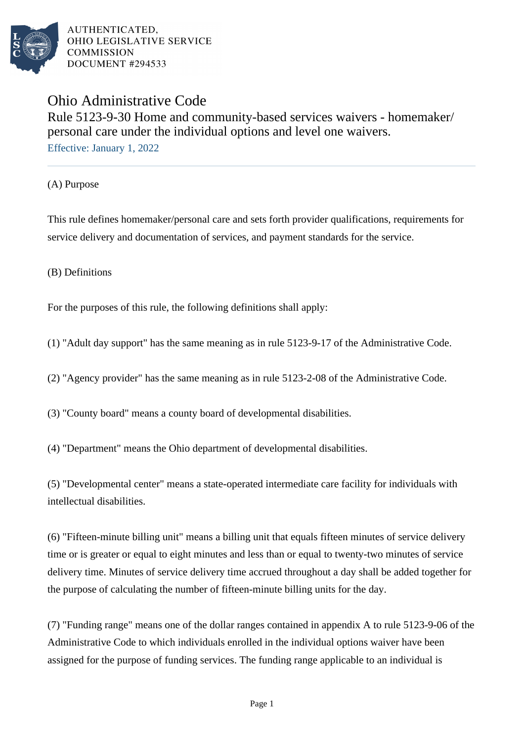

# Ohio Administrative Code Rule 5123-9-30 Home and community-based services waivers - homemaker/ personal care under the individual options and level one waivers. Effective: January 1, 2022

(A) Purpose

This rule defines homemaker/personal care and sets forth provider qualifications, requirements for service delivery and documentation of services, and payment standards for the service.

(B) Definitions

For the purposes of this rule, the following definitions shall apply:

(1) "Adult day support" has the same meaning as in rule 5123-9-17 of the Administrative Code.

(2) "Agency provider" has the same meaning as in rule 5123-2-08 of the Administrative Code.

(3) "County board" means a county board of developmental disabilities.

(4) "Department" means the Ohio department of developmental disabilities.

(5) "Developmental center" means a state-operated intermediate care facility for individuals with intellectual disabilities.

(6) "Fifteen-minute billing unit" means a billing unit that equals fifteen minutes of service delivery time or is greater or equal to eight minutes and less than or equal to twenty-two minutes of service delivery time. Minutes of service delivery time accrued throughout a day shall be added together for the purpose of calculating the number of fifteen-minute billing units for the day.

(7) "Funding range" means one of the dollar ranges contained in appendix A to rule 5123-9-06 of the Administrative Code to which individuals enrolled in the individual options waiver have been assigned for the purpose of funding services. The funding range applicable to an individual is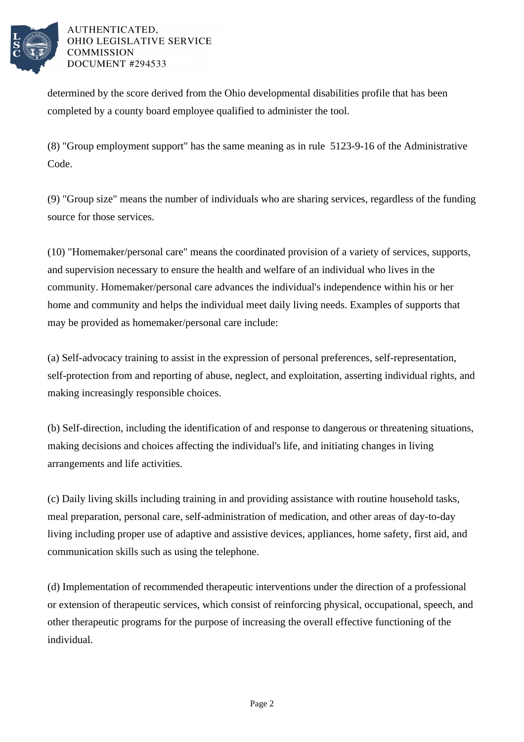

determined by the score derived from the Ohio developmental disabilities profile that has been completed by a county board employee qualified to administer the tool.

(8) "Group employment support" has the same meaning as in rule 5123-9-16 of the Administrative Code.

(9) "Group size" means the number of individuals who are sharing services, regardless of the funding source for those services.

(10) "Homemaker/personal care" means the coordinated provision of a variety of services, supports, and supervision necessary to ensure the health and welfare of an individual who lives in the community. Homemaker/personal care advances the individual's independence within his or her home and community and helps the individual meet daily living needs. Examples of supports that may be provided as homemaker/personal care include:

(a) Self-advocacy training to assist in the expression of personal preferences, self-representation, self-protection from and reporting of abuse, neglect, and exploitation, asserting individual rights, and making increasingly responsible choices.

(b) Self-direction, including the identification of and response to dangerous or threatening situations, making decisions and choices affecting the individual's life, and initiating changes in living arrangements and life activities.

(c) Daily living skills including training in and providing assistance with routine household tasks, meal preparation, personal care, self-administration of medication, and other areas of day-to-day living including proper use of adaptive and assistive devices, appliances, home safety, first aid, and communication skills such as using the telephone.

(d) Implementation of recommended therapeutic interventions under the direction of a professional or extension of therapeutic services, which consist of reinforcing physical, occupational, speech, and other therapeutic programs for the purpose of increasing the overall effective functioning of the individual.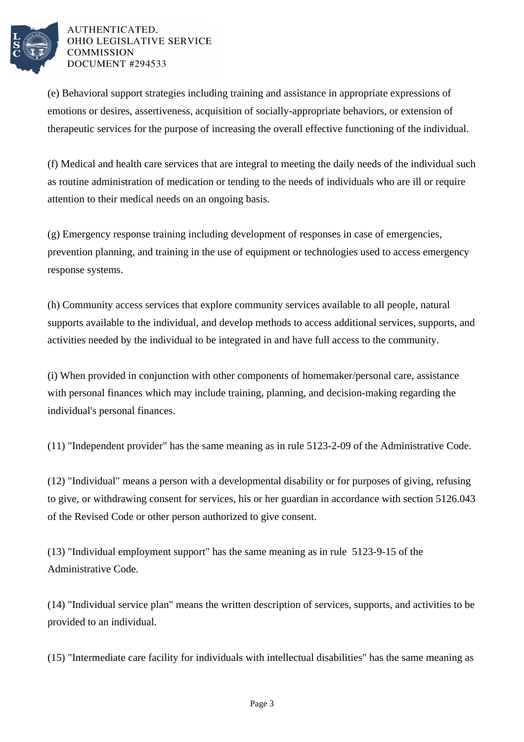

(e) Behavioral support strategies including training and assistance in appropriate expressions of emotions or desires, assertiveness, acquisition of socially-appropriate behaviors, or extension of therapeutic services for the purpose of increasing the overall effective functioning of the individual.

(f) Medical and health care services that are integral to meeting the daily needs of the individual such as routine administration of medication or tending to the needs of individuals who are ill or require attention to their medical needs on an ongoing basis.

(g) Emergency response training including development of responses in case of emergencies, prevention planning, and training in the use of equipment or technologies used to access emergency response systems.

(h) Community access services that explore community services available to all people, natural supports available to the individual, and develop methods to access additional services, supports, and activities needed by the individual to be integrated in and have full access to the community.

(i) When provided in conjunction with other components of homemaker/personal care, assistance with personal finances which may include training, planning, and decision-making regarding the individual's personal finances.

(11) "Independent provider" has the same meaning as in rule 5123-2-09 of the Administrative Code.

(12) "Individual" means a person with a developmental disability or for purposes of giving, refusing to give, or withdrawing consent for services, his or her guardian in accordance with section 5126.043 of the Revised Code or other person authorized to give consent.

(13) "Individual employment support" has the same meaning as in rule 5123-9-15 of the Administrative Code.

(14) "Individual service plan" means the written description of services, supports, and activities to be provided to an individual.

(15) "Intermediate care facility for individuals with intellectual disabilities" has the same meaning as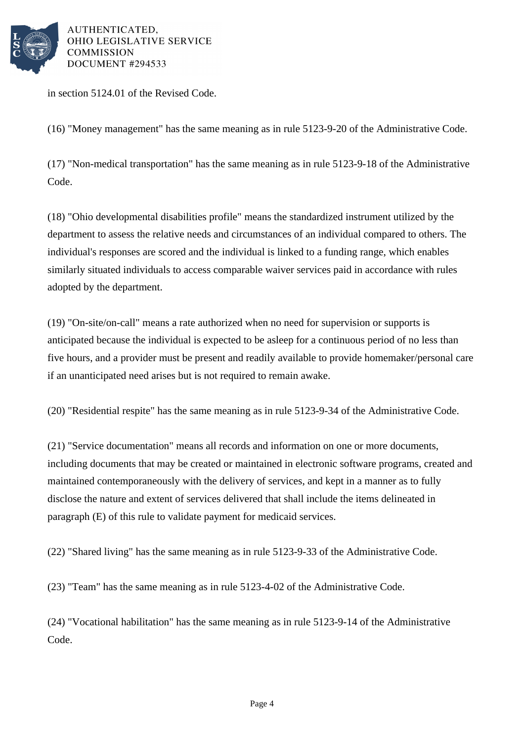

in section 5124.01 of the Revised Code.

(16) "Money management" has the same meaning as in rule 5123-9-20 of the Administrative Code.

(17) "Non-medical transportation" has the same meaning as in rule 5123-9-18 of the Administrative Code.

(18) "Ohio developmental disabilities profile" means the standardized instrument utilized by the department to assess the relative needs and circumstances of an individual compared to others. The individual's responses are scored and the individual is linked to a funding range, which enables similarly situated individuals to access comparable waiver services paid in accordance with rules adopted by the department.

(19) "On-site/on-call" means a rate authorized when no need for supervision or supports is anticipated because the individual is expected to be asleep for a continuous period of no less than five hours, and a provider must be present and readily available to provide homemaker/personal care if an unanticipated need arises but is not required to remain awake.

(20) "Residential respite" has the same meaning as in rule 5123-9-34 of the Administrative Code.

(21) "Service documentation" means all records and information on one or more documents, including documents that may be created or maintained in electronic software programs, created and maintained contemporaneously with the delivery of services, and kept in a manner as to fully disclose the nature and extent of services delivered that shall include the items delineated in paragraph (E) of this rule to validate payment for medicaid services.

(22) "Shared living" has the same meaning as in rule 5123-9-33 of the Administrative Code.

(23) "Team" has the same meaning as in rule 5123-4-02 of the Administrative Code.

(24) "Vocational habilitation" has the same meaning as in rule 5123-9-14 of the Administrative Code.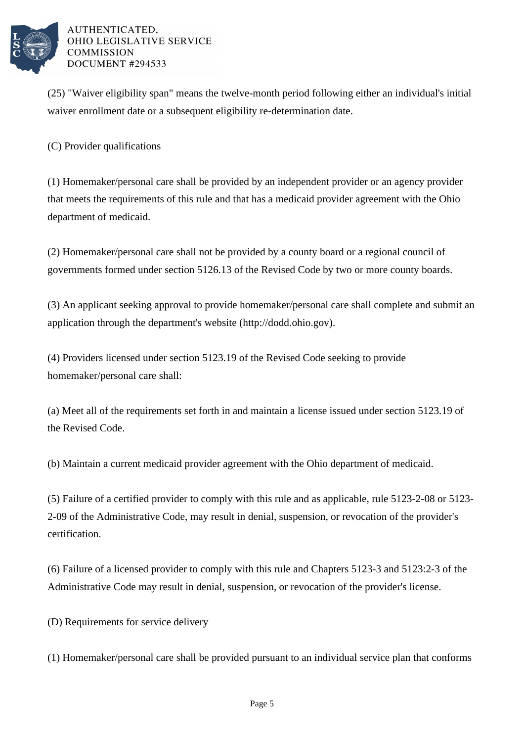

(25) "Waiver eligibility span" means the twelve-month period following either an individual's initial waiver enrollment date or a subsequent eligibility re-determination date.

(C) Provider qualifications

(1) Homemaker/personal care shall be provided by an independent provider or an agency provider that meets the requirements of this rule and that has a medicaid provider agreement with the Ohio department of medicaid.

(2) Homemaker/personal care shall not be provided by a county board or a regional council of governments formed under section 5126.13 of the Revised Code by two or more county boards.

(3) An applicant seeking approval to provide homemaker/personal care shall complete and submit an application through the department's website (http://dodd.ohio.gov).

(4) Providers licensed under section 5123.19 of the Revised Code seeking to provide homemaker/personal care shall:

(a) Meet all of the requirements set forth in and maintain a license issued under section 5123.19 of the Revised Code.

(b) Maintain a current medicaid provider agreement with the Ohio department of medicaid.

(5) Failure of a certified provider to comply with this rule and as applicable, rule 5123-2-08 or 5123- 2-09 of the Administrative Code, may result in denial, suspension, or revocation of the provider's certification.

(6) Failure of a licensed provider to comply with this rule and Chapters 5123-3 and 5123:2-3 of the Administrative Code may result in denial, suspension, or revocation of the provider's license.

(D) Requirements for service delivery

(1) Homemaker/personal care shall be provided pursuant to an individual service plan that conforms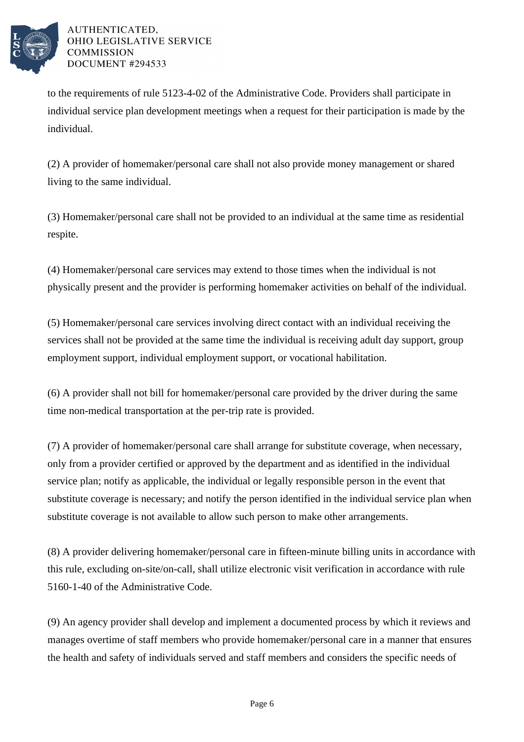

to the requirements of rule 5123-4-02 of the Administrative Code. Providers shall participate in individual service plan development meetings when a request for their participation is made by the individual.

(2) A provider of homemaker/personal care shall not also provide money management or shared living to the same individual.

(3) Homemaker/personal care shall not be provided to an individual at the same time as residential respite.

(4) Homemaker/personal care services may extend to those times when the individual is not physically present and the provider is performing homemaker activities on behalf of the individual.

(5) Homemaker/personal care services involving direct contact with an individual receiving the services shall not be provided at the same time the individual is receiving adult day support, group employment support, individual employment support, or vocational habilitation.

(6) A provider shall not bill for homemaker/personal care provided by the driver during the same time non-medical transportation at the per-trip rate is provided.

(7) A provider of homemaker/personal care shall arrange for substitute coverage, when necessary, only from a provider certified or approved by the department and as identified in the individual service plan; notify as applicable, the individual or legally responsible person in the event that substitute coverage is necessary; and notify the person identified in the individual service plan when substitute coverage is not available to allow such person to make other arrangements.

(8) A provider delivering homemaker/personal care in fifteen-minute billing units in accordance with this rule, excluding on-site/on-call, shall utilize electronic visit verification in accordance with rule 5160-1-40 of the Administrative Code.

(9) An agency provider shall develop and implement a documented process by which it reviews and manages overtime of staff members who provide homemaker/personal care in a manner that ensures the health and safety of individuals served and staff members and considers the specific needs of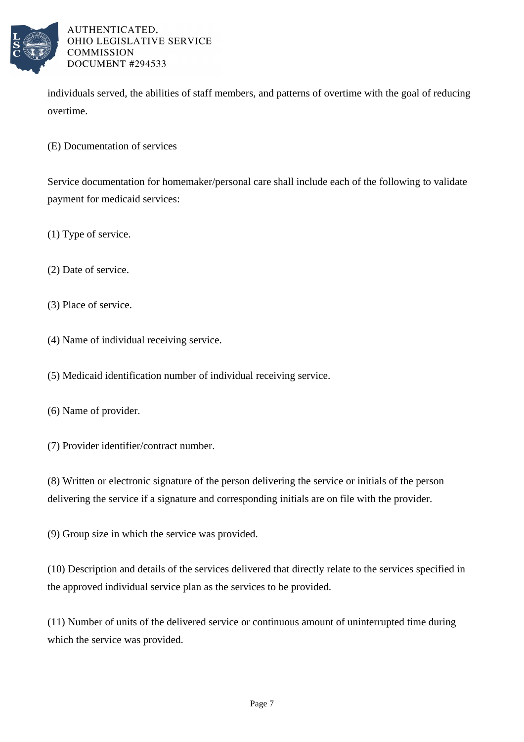

individuals served, the abilities of staff members, and patterns of overtime with the goal of reducing overtime.

(E) Documentation of services

Service documentation for homemaker/personal care shall include each of the following to validate payment for medicaid services:

(1) Type of service.

(2) Date of service.

(3) Place of service.

(4) Name of individual receiving service.

(5) Medicaid identification number of individual receiving service.

(6) Name of provider.

(7) Provider identifier/contract number.

(8) Written or electronic signature of the person delivering the service or initials of the person delivering the service if a signature and corresponding initials are on file with the provider.

(9) Group size in which the service was provided.

(10) Description and details of the services delivered that directly relate to the services specified in the approved individual service plan as the services to be provided.

(11) Number of units of the delivered service or continuous amount of uninterrupted time during which the service was provided.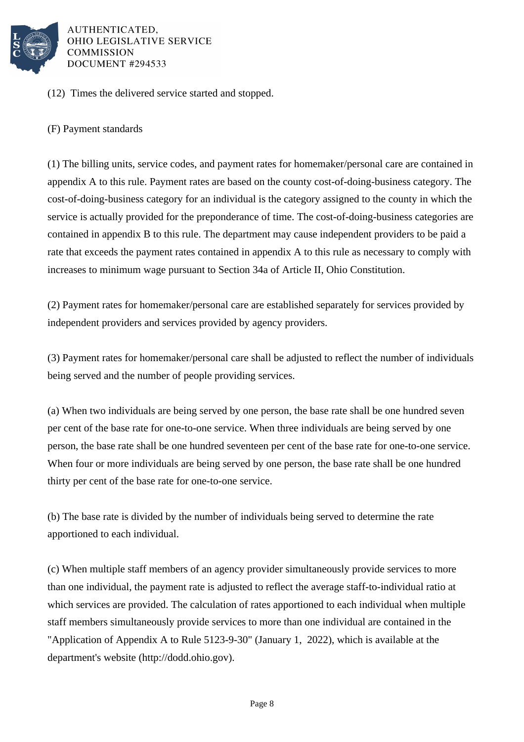

(12) Times the delivered service started and stopped.

(F) Payment standards

(1) The billing units, service codes, and payment rates for homemaker/personal care are contained in appendix A to this rule. Payment rates are based on the county cost-of-doing-business category. The cost-of-doing-business category for an individual is the category assigned to the county in which the service is actually provided for the preponderance of time. The cost-of-doing-business categories are contained in appendix B to this rule. The department may cause independent providers to be paid a rate that exceeds the payment rates contained in appendix A to this rule as necessary to comply with increases to minimum wage pursuant to Section 34a of Article II, Ohio Constitution.

(2) Payment rates for homemaker/personal care are established separately for services provided by independent providers and services provided by agency providers.

(3) Payment rates for homemaker/personal care shall be adjusted to reflect the number of individuals being served and the number of people providing services.

(a) When two individuals are being served by one person, the base rate shall be one hundred seven per cent of the base rate for one-to-one service. When three individuals are being served by one person, the base rate shall be one hundred seventeen per cent of the base rate for one-to-one service. When four or more individuals are being served by one person, the base rate shall be one hundred thirty per cent of the base rate for one-to-one service.

(b) The base rate is divided by the number of individuals being served to determine the rate apportioned to each individual.

(c) When multiple staff members of an agency provider simultaneously provide services to more than one individual, the payment rate is adjusted to reflect the average staff-to-individual ratio at which services are provided. The calculation of rates apportioned to each individual when multiple staff members simultaneously provide services to more than one individual are contained in the "Application of Appendix A to Rule 5123-9-30" (January 1, 2022), which is available at the department's website (http://dodd.ohio.gov).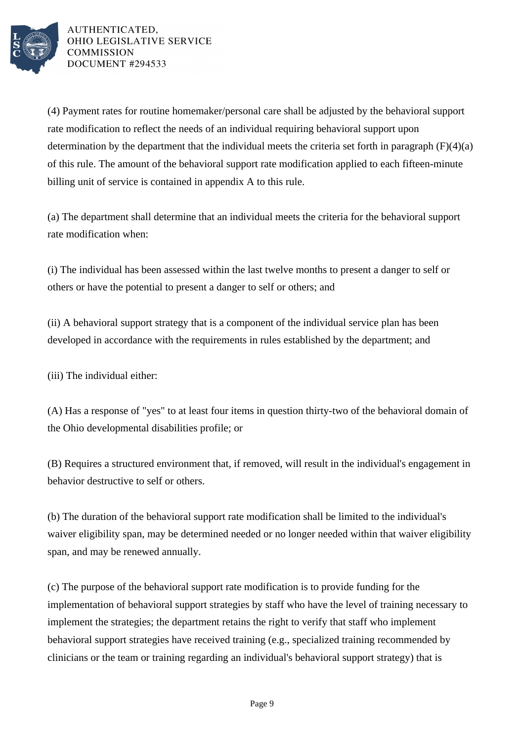

(4) Payment rates for routine homemaker/personal care shall be adjusted by the behavioral support rate modification to reflect the needs of an individual requiring behavioral support upon determination by the department that the individual meets the criteria set forth in paragraph  $(F)(4)(a)$ of this rule. The amount of the behavioral support rate modification applied to each fifteen-minute billing unit of service is contained in appendix A to this rule.

(a) The department shall determine that an individual meets the criteria for the behavioral support rate modification when:

(i) The individual has been assessed within the last twelve months to present a danger to self or others or have the potential to present a danger to self or others; and

(ii) A behavioral support strategy that is a component of the individual service plan has been developed in accordance with the requirements in rules established by the department; and

(iii) The individual either:

(A) Has a response of "yes" to at least four items in question thirty-two of the behavioral domain of the Ohio developmental disabilities profile; or

(B) Requires a structured environment that, if removed, will result in the individual's engagement in behavior destructive to self or others.

(b) The duration of the behavioral support rate modification shall be limited to the individual's waiver eligibility span, may be determined needed or no longer needed within that waiver eligibility span, and may be renewed annually.

(c) The purpose of the behavioral support rate modification is to provide funding for the implementation of behavioral support strategies by staff who have the level of training necessary to implement the strategies; the department retains the right to verify that staff who implement behavioral support strategies have received training (e.g., specialized training recommended by clinicians or the team or training regarding an individual's behavioral support strategy) that is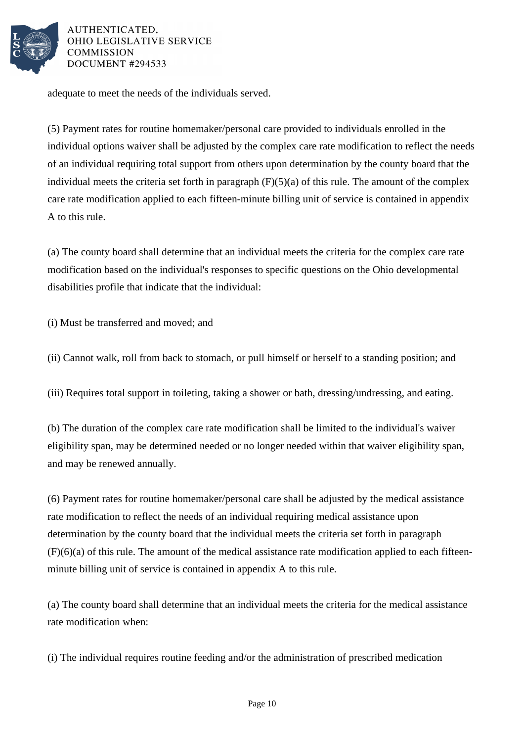

adequate to meet the needs of the individuals served.

(5) Payment rates for routine homemaker/personal care provided to individuals enrolled in the individual options waiver shall be adjusted by the complex care rate modification to reflect the needs of an individual requiring total support from others upon determination by the county board that the individual meets the criteria set forth in paragraph  $(F)(5)(a)$  of this rule. The amount of the complex care rate modification applied to each fifteen-minute billing unit of service is contained in appendix A to this rule.

(a) The county board shall determine that an individual meets the criteria for the complex care rate modification based on the individual's responses to specific questions on the Ohio developmental disabilities profile that indicate that the individual:

(i) Must be transferred and moved; and

(ii) Cannot walk, roll from back to stomach, or pull himself or herself to a standing position; and

(iii) Requires total support in toileting, taking a shower or bath, dressing/undressing, and eating.

(b) The duration of the complex care rate modification shall be limited to the individual's waiver eligibility span, may be determined needed or no longer needed within that waiver eligibility span, and may be renewed annually.

(6) Payment rates for routine homemaker/personal care shall be adjusted by the medical assistance rate modification to reflect the needs of an individual requiring medical assistance upon determination by the county board that the individual meets the criteria set forth in paragraph  $(F)(6)(a)$  of this rule. The amount of the medical assistance rate modification applied to each fifteenminute billing unit of service is contained in appendix A to this rule.

(a) The county board shall determine that an individual meets the criteria for the medical assistance rate modification when:

(i) The individual requires routine feeding and/or the administration of prescribed medication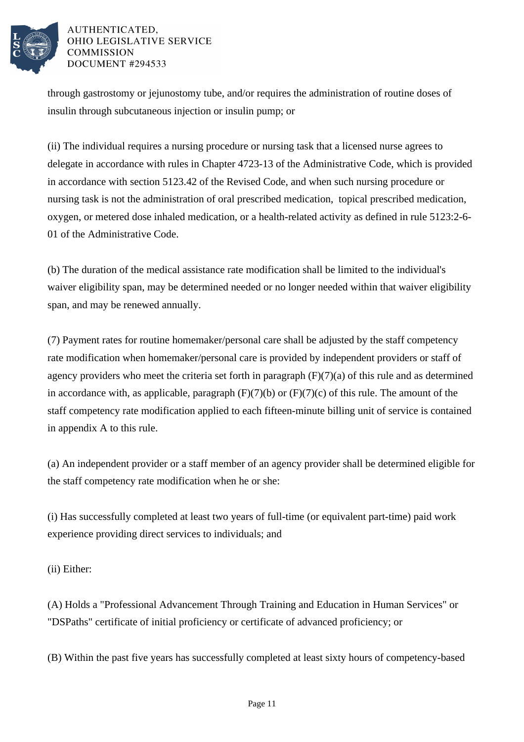

through gastrostomy or jejunostomy tube, and/or requires the administration of routine doses of insulin through subcutaneous injection or insulin pump; or

(ii) The individual requires a nursing procedure or nursing task that a licensed nurse agrees to delegate in accordance with rules in Chapter 4723-13 of the Administrative Code, which is provided in accordance with section 5123.42 of the Revised Code, and when such nursing procedure or nursing task is not the administration of oral prescribed medication, topical prescribed medication, oxygen, or metered dose inhaled medication, or a health-related activity as defined in rule 5123:2-6- 01 of the Administrative Code.

(b) The duration of the medical assistance rate modification shall be limited to the individual's waiver eligibility span, may be determined needed or no longer needed within that waiver eligibility span, and may be renewed annually.

(7) Payment rates for routine homemaker/personal care shall be adjusted by the staff competency rate modification when homemaker/personal care is provided by independent providers or staff of agency providers who meet the criteria set forth in paragraph  $(F)(7)(a)$  of this rule and as determined in accordance with, as applicable, paragraph  $(F)(7)(b)$  or  $(F)(7)(c)$  of this rule. The amount of the staff competency rate modification applied to each fifteen-minute billing unit of service is contained in appendix A to this rule.

(a) An independent provider or a staff member of an agency provider shall be determined eligible for the staff competency rate modification when he or she:

(i) Has successfully completed at least two years of full-time (or equivalent part-time) paid work experience providing direct services to individuals; and

(ii) Either:

(A) Holds a "Professional Advancement Through Training and Education in Human Services" or "DSPaths" certificate of initial proficiency or certificate of advanced proficiency; or

(B) Within the past five years has successfully completed at least sixty hours of competency-based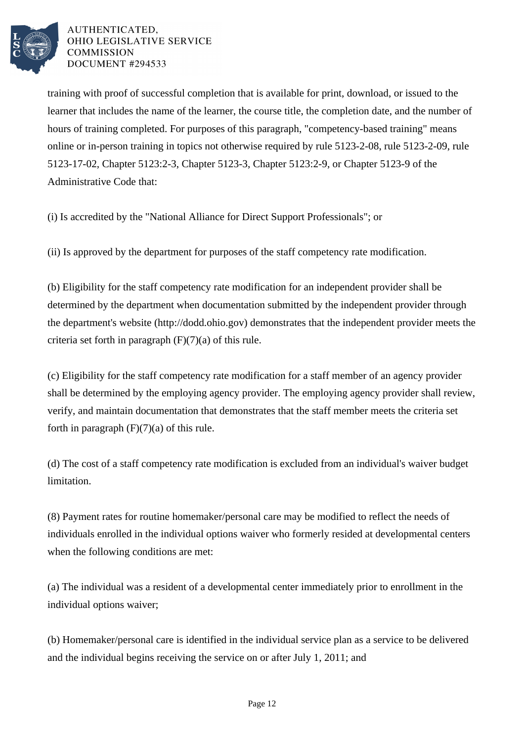

training with proof of successful completion that is available for print, download, or issued to the learner that includes the name of the learner, the course title, the completion date, and the number of hours of training completed. For purposes of this paragraph, "competency-based training" means online or in-person training in topics not otherwise required by rule 5123-2-08, rule 5123-2-09, rule 5123-17-02, Chapter 5123:2-3, Chapter 5123-3, Chapter 5123:2-9, or Chapter 5123-9 of the Administrative Code that:

(i) Is accredited by the "National Alliance for Direct Support Professionals"; or

(ii) Is approved by the department for purposes of the staff competency rate modification.

(b) Eligibility for the staff competency rate modification for an independent provider shall be determined by the department when documentation submitted by the independent provider through the department's website (http://dodd.ohio.gov) demonstrates that the independent provider meets the criteria set forth in paragraph  $(F)(7)(a)$  of this rule.

(c) Eligibility for the staff competency rate modification for a staff member of an agency provider shall be determined by the employing agency provider. The employing agency provider shall review, verify, and maintain documentation that demonstrates that the staff member meets the criteria set forth in paragraph  $(F)(7)(a)$  of this rule.

(d) The cost of a staff competency rate modification is excluded from an individual's waiver budget limitation.

(8) Payment rates for routine homemaker/personal care may be modified to reflect the needs of individuals enrolled in the individual options waiver who formerly resided at developmental centers when the following conditions are met:

(a) The individual was a resident of a developmental center immediately prior to enrollment in the individual options waiver;

(b) Homemaker/personal care is identified in the individual service plan as a service to be delivered and the individual begins receiving the service on or after July 1, 2011; and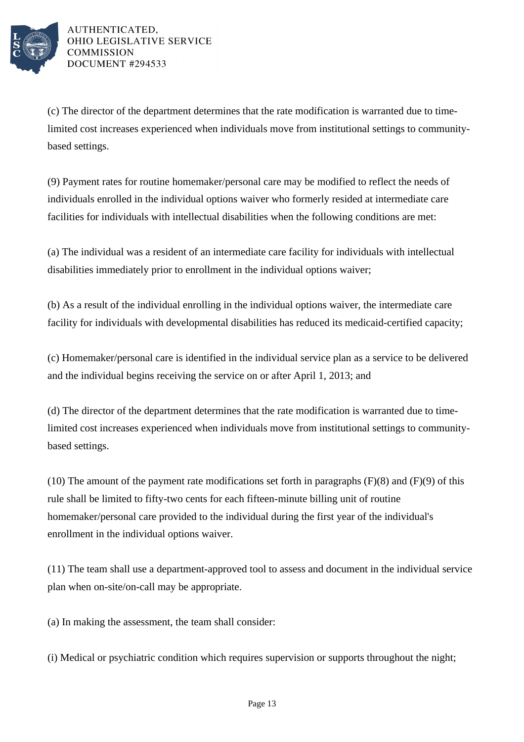

(c) The director of the department determines that the rate modification is warranted due to timelimited cost increases experienced when individuals move from institutional settings to communitybased settings.

(9) Payment rates for routine homemaker/personal care may be modified to reflect the needs of individuals enrolled in the individual options waiver who formerly resided at intermediate care facilities for individuals with intellectual disabilities when the following conditions are met:

(a) The individual was a resident of an intermediate care facility for individuals with intellectual disabilities immediately prior to enrollment in the individual options waiver;

(b) As a result of the individual enrolling in the individual options waiver, the intermediate care facility for individuals with developmental disabilities has reduced its medicaid-certified capacity;

(c) Homemaker/personal care is identified in the individual service plan as a service to be delivered and the individual begins receiving the service on or after April 1, 2013; and

(d) The director of the department determines that the rate modification is warranted due to timelimited cost increases experienced when individuals move from institutional settings to communitybased settings.

(10) The amount of the payment rate modifications set forth in paragraphs  $(F)(8)$  and  $(F)(9)$  of this rule shall be limited to fifty-two cents for each fifteen-minute billing unit of routine homemaker/personal care provided to the individual during the first year of the individual's enrollment in the individual options waiver.

(11) The team shall use a department-approved tool to assess and document in the individual service plan when on-site/on-call may be appropriate.

(a) In making the assessment, the team shall consider:

(i) Medical or psychiatric condition which requires supervision or supports throughout the night;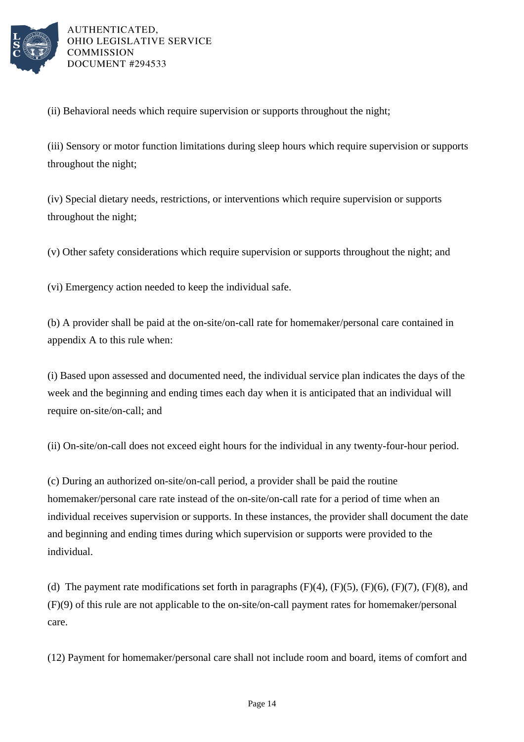

(ii) Behavioral needs which require supervision or supports throughout the night;

(iii) Sensory or motor function limitations during sleep hours which require supervision or supports throughout the night;

(iv) Special dietary needs, restrictions, or interventions which require supervision or supports throughout the night;

(v) Other safety considerations which require supervision or supports throughout the night; and

(vi) Emergency action needed to keep the individual safe.

(b) A provider shall be paid at the on-site/on-call rate for homemaker/personal care contained in appendix A to this rule when:

(i) Based upon assessed and documented need, the individual service plan indicates the days of the week and the beginning and ending times each day when it is anticipated that an individual will require on-site/on-call; and

(ii) On-site/on-call does not exceed eight hours for the individual in any twenty-four-hour period.

(c) During an authorized on-site/on-call period, a provider shall be paid the routine homemaker/personal care rate instead of the on-site/on-call rate for a period of time when an individual receives supervision or supports. In these instances, the provider shall document the date and beginning and ending times during which supervision or supports were provided to the individual.

(d) The payment rate modifications set forth in paragraphs  $(F)(4)$ ,  $(F)(5)$ ,  $(F)(6)$ ,  $(F)(7)$ ,  $(F)(8)$ , and (F)(9) of this rule are not applicable to the on-site/on-call payment rates for homemaker/personal care.

(12) Payment for homemaker/personal care shall not include room and board, items of comfort and